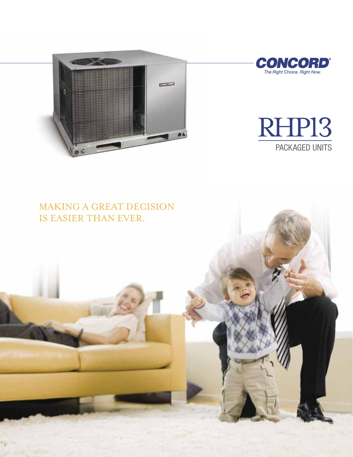



## RHP13 PACKAGED UNITS

# making a great decision

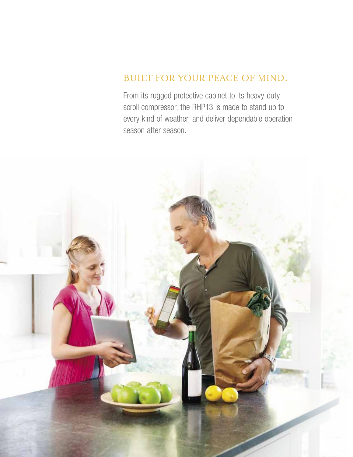## Built for your peace of mind.

From its rugged protective cabinet to its heavy-duty scroll compressor, the RHP13 is made to stand up to every kind of weather, and deliver dependable operation season after season.

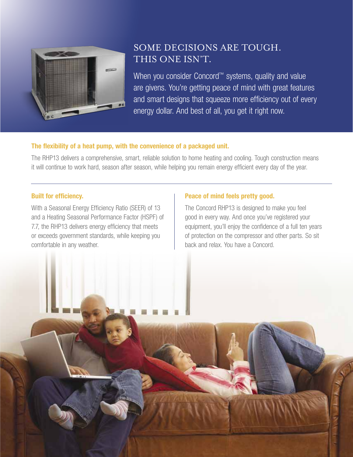

### Some decisions are tough. This one isn't.

When you consider Concord™ systems, quality and value are givens. You're getting peace of mind with great features and smart designs that squeeze more efficiency out of every energy dollar. And best of all, you get it right now.

#### The flexibility of a heat pump, with the convenience of a packaged unit.

The RHP13 delivers a comprehensive, smart, reliable solution to home heating and cooling. Tough construction means it will continue to work hard, season after season, while helping you remain energy efficient every day of the year.

#### Built for efficiency.

With a Seasonal Energy Efficiency Ratio (SEER) of 13 and a Heating Seasonal Performance Factor (HSPF) of 7.7, the RHP13 delivers energy efficiency that meets or exceeds government standards, while keeping you comfortable in any weather.

#### Peace of mind feels pretty good.

The Concord RHP13 is designed to make you feel good in every way. And once you've registered your equipment, you'll enjoy the confidence of a full ten years of protection on the compressor and other parts. So sit back and relax. You have a Concord.